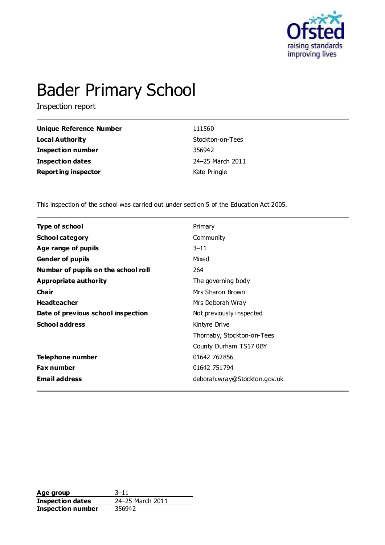

# Bader Primary School

Inspection report

| Unique Reference Number    | 111560           |
|----------------------------|------------------|
| Local Authority            | Stockton-on-Tees |
| <b>Inspection number</b>   | 356942           |
| Inspection dates           | 24-25 March 2011 |
| <b>Reporting inspector</b> | Kate Pringle     |

This inspection of the school was carried out under section 5 of the Education Act 2005.

| <b>Type of school</b>               | Primary                      |
|-------------------------------------|------------------------------|
| <b>School category</b>              | Community                    |
| Age range of pupils                 | $3 - 11$                     |
| <b>Gender of pupils</b>             | Mixed                        |
| Number of pupils on the school roll | 264                          |
| Appropriate authority               | The governing body           |
| Cha ir                              | Mrs Sharon Brown             |
| <b>Headteacher</b>                  | Mrs Deborah Wray             |
| Date of previous school inspection  | Not previously inspected     |
| <b>School address</b>               | Kintyre Drive                |
|                                     | Thornaby, Stockton-on-Tees   |
|                                     | County Durham TS17 0BY       |
| Telephone number                    | 01642 762856                 |
| <b>Fax number</b>                   | 01642 751 794                |
| <b>Email address</b>                | deborah.wray@Stockton.gov.uk |

**Age group** 3-11<br> **Inspection dates** 24-25 March 2011 **Inspection dates Inspection number** 356942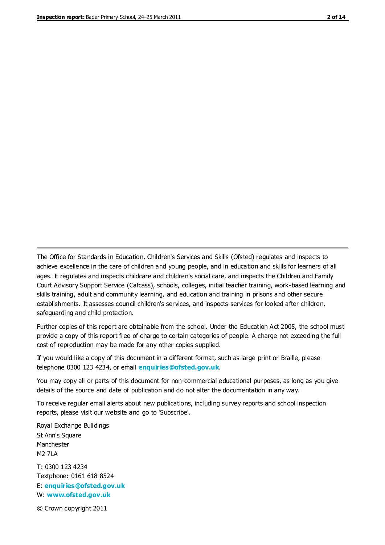The Office for Standards in Education, Children's Services and Skills (Ofsted) regulates and inspects to achieve excellence in the care of children and young people, and in education and skills for learners of all ages. It regulates and inspects childcare and children's social care, and inspects the Children and Family Court Advisory Support Service (Cafcass), schools, colleges, initial teacher training, work-based learning and skills training, adult and community learning, and education and training in prisons and other secure establishments. It assesses council children's services, and inspects services for looked after children, safeguarding and child protection.

Further copies of this report are obtainable from the school. Under the Education Act 2005, the school must provide a copy of this report free of charge to certain categories of people. A charge not exceeding the full cost of reproduction may be made for any other copies supplied.

If you would like a copy of this document in a different format, such as large print or Braille, please telephone 0300 123 4234, or email **[enquiries@ofsted.gov.uk](mailto:enquiries@ofsted.gov.uk)**.

You may copy all or parts of this document for non-commercial educational purposes, as long as you give details of the source and date of publication and do not alter the documentation in any way.

To receive regular email alerts about new publications, including survey reports and school inspection reports, please visit our website and go to 'Subscribe'.

Royal Exchange Buildings St Ann's Square Manchester M2 7LA T: 0300 123 4234 Textphone: 0161 618 8524 E: **[enquiries@ofsted.gov.uk](mailto:enquiries@ofsted.gov.uk)**

W: **[www.ofsted.gov.uk](http://www.ofsted.gov.uk/)**

© Crown copyright 2011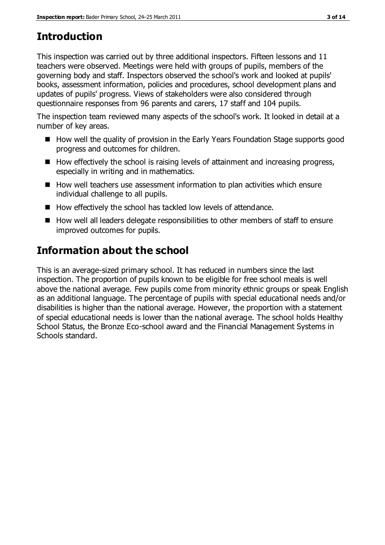# **Introduction**

This inspection was carried out by three additional inspectors. Fifteen lessons and 11 teachers were observed. Meetings were held with groups of pupils, members of the governing body and staff. Inspectors observed the school's work and looked at pupils' books, assessment information, policies and procedures, school development plans and updates of pupils' progress. Views of stakeholders were also considered through questionnaire responses from 96 parents and carers, 17 staff and 104 pupils.

The inspection team reviewed many aspects of the school's work. It looked in detail at a number of key areas.

- How well the quality of provision in the Early Years Foundation Stage supports good progress and outcomes for children.
- $\blacksquare$  How effectively the school is raising levels of attainment and increasing progress, especially in writing and in mathematics.
- How well teachers use assessment information to plan activities which ensure individual challenge to all pupils.
- How effectively the school has tackled low levels of attendance.
- $\blacksquare$  How well all leaders delegate responsibilities to other members of staff to ensure improved outcomes for pupils.

# **Information about the school**

This is an average-sized primary school. It has reduced in numbers since the last inspection. The proportion of pupils known to be eligible for free school meals is well above the national average. Few pupils come from minority ethnic groups or speak English as an additional language. The percentage of pupils with special educational needs and/or disabilities is higher than the national average. However, the proportion with a statement of special educational needs is lower than the national average. The school holds Healthy School Status, the Bronze Eco-school award and the Financial Management Systems in Schools standard.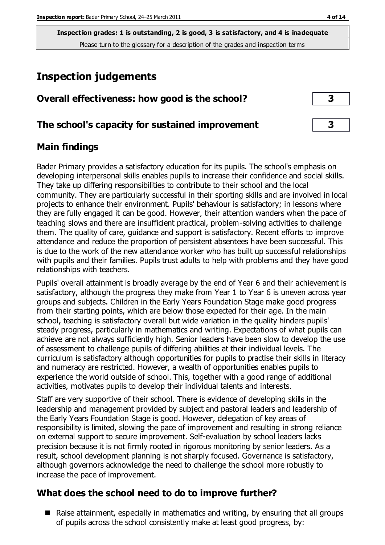**Inspection grades: 1 is outstanding, 2 is good, 3 is satisfactory, and 4 is inadequate** Please turn to the glossary for a description of the grades and inspection terms

# **Inspection judgements**

| Overall effectiveness: how good is the school? |  |
|------------------------------------------------|--|
|------------------------------------------------|--|

#### **The school's capacity for sustained improvement 3**

#### **Main findings**

Bader Primary provides a satisfactory education for its pupils. The school's emphasis on developing interpersonal skills enables pupils to increase their confidence and social skills. They take up differing responsibilities to contribute to their school and the local community. They are particularly successful in their sporting skills and are involved in local projects to enhance their environment. Pupils' behaviour is satisfactory; in lessons where they are fully engaged it can be good. However, their attention wanders when the pace of teaching slows and there are insufficient practical, problem-solving activities to challenge them. The quality of care, guidance and support is satisfactory. Recent efforts to improve attendance and reduce the proportion of persistent absentees have been successful. This is due to the work of the new attendance worker who has built up successful relationships with pupils and their families. Pupils trust adults to help with problems and they have good relationships with teachers.

Pupils' overall attainment is broadly average by the end of Year 6 and their achievement is satisfactory, although the progress they make from Year 1 to Year 6 is uneven across year groups and subjects. Children in the Early Years Foundation Stage make good progress from their starting points, which are below those expected for their age. In the main school, teaching is satisfactory overall but wide variation in the quality hinders pupils' steady progress, particularly in mathematics and writing. Expectations of what pupils can achieve are not always sufficiently high. Senior leaders have been slow to develop the use of assessment to challenge pupils of differing abilities at their individual levels. The curriculum is satisfactory although opportunities for pupils to practise their skills in literacy and numeracy are restricted. However, a wealth of opportunities enables pupils to experience the world outside of school. This, together with a good range of additional activities, motivates pupils to develop their individual talents and interests.

Staff are very supportive of their school. There is evidence of developing skills in the leadership and management provided by subject and pastoral leaders and leadership of the Early Years Foundation Stage is good. However, delegation of key areas of responsibility is limited, slowing the pace of improvement and resulting in strong reliance on external support to secure improvement. Self-evaluation by school leaders lacks precision because it is not firmly rooted in rigorous monitoring by senior leaders. As a result, school development planning is not sharply focused. Governance is satisfactory, although governors acknowledge the need to challenge the school more robustly to increase the pace of improvement.

#### **What does the school need to do to improve further?**

■ Raise attainment, especially in mathematics and writing, by ensuring that all groups of pupils across the school consistently make at least good progress, by: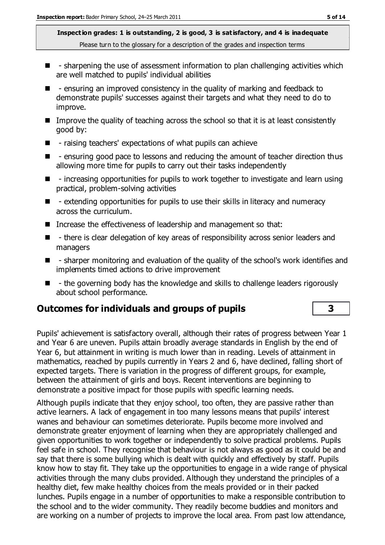**Inspection grades: 1 is outstanding, 2 is good, 3 is satisfactory, and 4 is inadequate** Please turn to the glossary for a description of the grades and inspection terms

- $\blacksquare$  sharpening the use of assessment information to plan challenging activities which are well matched to pupils' individual abilities
- $\blacksquare$  ensuring an improved consistency in the quality of marking and feedback to demonstrate pupils' successes against their targets and what they need to do to improve.
- Improve the quality of teaching across the school so that it is at least consistently good by:
- $\blacksquare$  raising teachers' expectations of what pupils can achieve
- $\blacksquare$  ensuring good pace to lessons and reducing the amount of teacher direction thus allowing more time for pupils to carry out their tasks independently
- $\blacksquare$  increasing opportunities for pupils to work together to investigate and learn using practical, problem-solving activities
- $\blacksquare$  extending opportunities for pupils to use their skills in literacy and numeracy across the curriculum.
- Increase the effectiveness of leadership and management so that:
- $\blacksquare$  there is clear delegation of key areas of responsibility across senior leaders and managers
- $\blacksquare$  sharper monitoring and evaluation of the quality of the school's work identifies and implements timed actions to drive improvement
- - the governing body has the knowledge and skills to challenge leaders rigorously about school performance.

### **Outcomes for individuals and groups of pupils 3**

Pupils' achievement is satisfactory overall, although their rates of progress between Year 1 and Year 6 are uneven. Pupils attain broadly average standards in English by the end of Year 6, but attainment in writing is much lower than in reading. Levels of attainment in mathematics, reached by pupils currently in Years 2 and 6, have declined, falling short of expected targets. There is variation in the progress of different groups, for example, between the attainment of girls and boys. Recent interventions are beginning to demonstrate a positive impact for those pupils with specific learning needs.

Although pupils indicate that they enjoy school, too often, they are passive rather than active learners. A lack of engagement in too many lessons means that pupils' interest wanes and behaviour can sometimes deteriorate. Pupils become more involved and demonstrate greater enjoyment of learning when they are appropriately challenged and given opportunities to work together or independently to solve practical problems. Pupils feel safe in school. They recognise that behaviour is not always as good as it could be and say that there is some bullying which is dealt with quickly and effectively by staff. Pupils know how to stay fit. They take up the opportunities to engage in a wide range of physical activities through the many clubs provided. Although they understand the principles of a healthy diet, few make healthy choices from the meals provided or in their packed lunches. Pupils engage in a number of opportunities to make a responsible contribution to the school and to the wider community. They readily become buddies and monitors and are working on a number of projects to improve the local area. From past low attendance,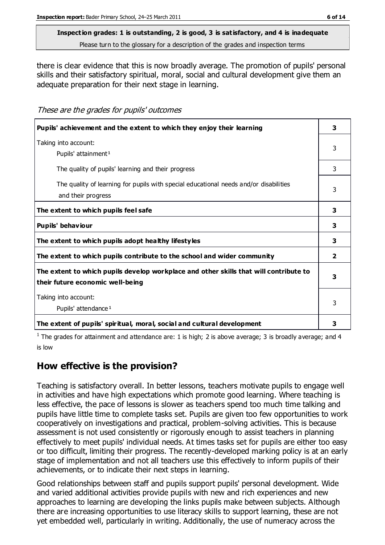# **Inspection grades: 1 is outstanding, 2 is good, 3 is satisfactory, and 4 is inadequate**

Please turn to the glossary for a description of the grades and inspection terms

there is clear evidence that this is now broadly average. The promotion of pupils' personal skills and their satisfactory spiritual, moral, social and cultural development give them an adequate preparation for their next stage in learning.

These are the grades for pupils' outcomes

| Pupils' achievement and the extent to which they enjoy their learning                                                     | 3              |
|---------------------------------------------------------------------------------------------------------------------------|----------------|
| Taking into account:<br>Pupils' attainment <sup>1</sup>                                                                   | 3              |
| The quality of pupils' learning and their progress                                                                        | 3              |
| The quality of learning for pupils with special educational needs and/or disabilities<br>and their progress               | 3              |
| The extent to which pupils feel safe                                                                                      | 3              |
| Pupils' behaviour                                                                                                         | 3              |
| The extent to which pupils adopt healthy lifestyles                                                                       | 3              |
| The extent to which pupils contribute to the school and wider community                                                   | $\overline{2}$ |
| The extent to which pupils develop workplace and other skills that will contribute to<br>their future economic well-being | 3              |
| Taking into account:<br>Pupils' attendance <sup>1</sup>                                                                   | 3              |
| The extent of pupils' spiritual, moral, social and cultural development                                                   | 3              |

<sup>1</sup> The grades for attainment and attendance are: 1 is high; 2 is above average; 3 is broadly average; and 4 is low

### **How effective is the provision?**

Teaching is satisfactory overall. In better lessons, teachers motivate pupils to engage well in activities and have high expectations which promote good learning. Where teaching is less effective, the pace of lessons is slower as teachers spend too much time talking and pupils have little time to complete tasks set. Pupils are given too few opportunities to work cooperatively on investigations and practical, problem-solving activities. This is because assessment is not used consistently or rigorously enough to assist teachers in planning effectively to meet pupils' individual needs. At times tasks set for pupils are either too easy or too difficult, limiting their progress. The recently-developed marking policy is at an early stage of implementation and not all teachers use this effectively to inform pupils of their achievements, or to indicate their next steps in learning.

Good relationships between staff and pupils support pupils' personal development. Wide and varied additional activities provide pupils with new and rich experiences and new approaches to learning are developing the links pupils make between subjects. Although there are increasing opportunities to use literacy skills to support learning, these are not yet embedded well, particularly in writing. Additionally, the use of numeracy across the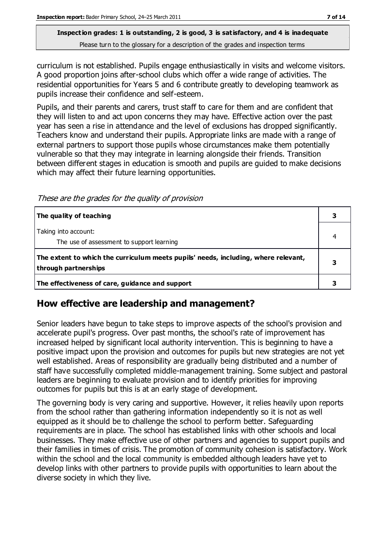#### **Inspection grades: 1 is outstanding, 2 is good, 3 is satisfactory, and 4 is inadequate** Please turn to the glossary for a description of the grades and inspection terms

curriculum is not established. Pupils engage enthusiastically in visits and welcome visitors. A good proportion joins after-school clubs which offer a wide range of activities. The residential opportunities for Years 5 and 6 contribute greatly to developing teamwork as pupils increase their confidence and self-esteem.

Pupils, and their parents and carers, trust staff to care for them and are confident that they will listen to and act upon concerns they may have. Effective action over the past year has seen a rise in attendance and the level of exclusions has dropped significantly. Teachers know and understand their pupils. Appropriate links are made with a range of external partners to support those pupils whose circumstances make them potentially vulnerable so that they may integrate in learning alongside their friends. Transition between different stages in education is smooth and pupils are guided to make decisions which may affect their future learning opportunities.

These are the grades for the quality of provision

| The quality of teaching                                                                                    |  |
|------------------------------------------------------------------------------------------------------------|--|
| Taking into account:<br>The use of assessment to support learning                                          |  |
| The extent to which the curriculum meets pupils' needs, including, where relevant,<br>through partnerships |  |
| The effectiveness of care, guidance and support                                                            |  |

#### **How effective are leadership and management?**

Senior leaders have begun to take steps to improve aspects of the school's provision and accelerate pupil's progress. Over past months, the school's rate of improvement has increased helped by significant local authority intervention. This is beginning to have a positive impact upon the provision and outcomes for pupils but new strategies are not yet well established. Areas of responsibility are gradually being distributed and a number of staff have successfully completed middle-management training. Some subject and pastoral leaders are beginning to evaluate provision and to identify priorities for improving outcomes for pupils but this is at an early stage of development.

The governing body is very caring and supportive. However, it relies heavily upon reports from the school rather than gathering information independently so it is not as well equipped as it should be to challenge the school to perform better. Safeguarding requirements are in place. The school has established links with other schools and local businesses. They make effective use of other partners and agencies to support pupils and their families in times of crisis. The promotion of community cohesion is satisfactory. Work within the school and the local community is embedded although leaders have yet to develop links with other partners to provide pupils with opportunities to learn about the diverse society in which they live.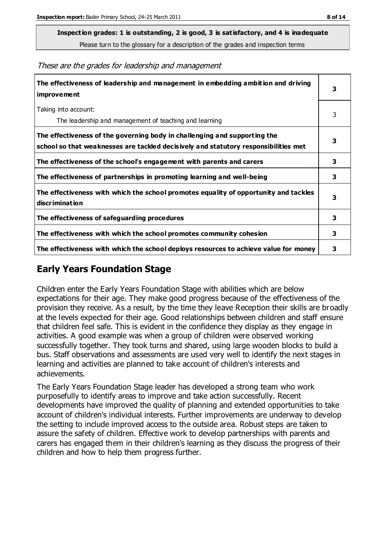**Inspection grades: 1 is outstanding, 2 is good, 3 is satisfactory, and 4 is inadequate**

Please turn to the glossary for a description of the grades and inspection terms

These are the grades for leadership and management

| The effectiveness of leadership and management in embedding ambition and driving<br>improvement                                                                  |   |
|------------------------------------------------------------------------------------------------------------------------------------------------------------------|---|
| Taking into account:<br>The leadership and management of teaching and learning                                                                                   | 3 |
| The effectiveness of the governing body in challenging and supporting the<br>school so that weaknesses are tackled decisively and statutory responsibilities met | 3 |
| The effectiveness of the school's engagement with parents and carers                                                                                             | 3 |
| The effectiveness of partnerships in promoting learning and well-being                                                                                           | 3 |
| The effectiveness with which the school promotes equality of opportunity and tackles<br>discrimination                                                           | 3 |
| The effectiveness of safeguarding procedures                                                                                                                     | 3 |
| The effectiveness with which the school promotes community cohesion                                                                                              |   |
| The effectiveness with which the school deploys resources to achieve value for money                                                                             | 3 |

#### **Early Years Foundation Stage**

Children enter the Early Years Foundation Stage with abilities which are below expectations for their age. They make good progress because of the effectiveness of the provision they receive. As a result, by the time they leave Reception their skills are broadly at the levels expected for their age. Good relationships between children and staff ensure that children feel safe. This is evident in the confidence they display as they engage in activities. A good example was when a group of children were observed working successfully together. They took turns and shared, using large wooden blocks to build a bus. Staff observations and assessments are used very well to identify the next stages in learning and activities are planned to take account of children's interests and achievements.

The Early Years Foundation Stage leader has developed a strong team who work purposefully to identify areas to improve and take action successfully. Recent developments have improved the quality of planning and extended opportunities to take account of children's individual interests. Further improvements are underway to develop the setting to include improved access to the outside area. Robust steps are taken to assure the safety of children. Effective work to develop partnerships with parents and carers has engaged them in their children's learning as they discuss the progress of their children and how to help them progress further.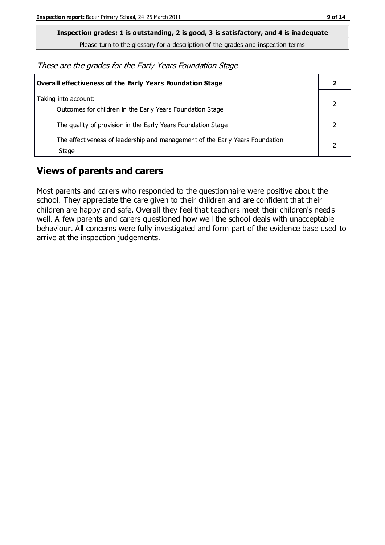**Inspection grades: 1 is outstanding, 2 is good, 3 is satisfactory, and 4 is inadequate**

Please turn to the glossary for a description of the grades and inspection terms

These are the grades for the Early Years Foundation Stage

| Overall effectiveness of the Early Years Foundation Stage                             |  |
|---------------------------------------------------------------------------------------|--|
| Taking into account:<br>Outcomes for children in the Early Years Foundation Stage     |  |
| The quality of provision in the Early Years Foundation Stage                          |  |
| The effectiveness of leadership and management of the Early Years Foundation<br>Stage |  |

#### **Views of parents and carers**

Most parents and carers who responded to the questionnaire were positive about the school. They appreciate the care given to their children and are confident that their children are happy and safe. Overall they feel that teachers meet their children's needs well. A few parents and carers questioned how well the school deals with unacceptable behaviour. All concerns were fully investigated and form part of the evidence base used to arrive at the inspection judgements.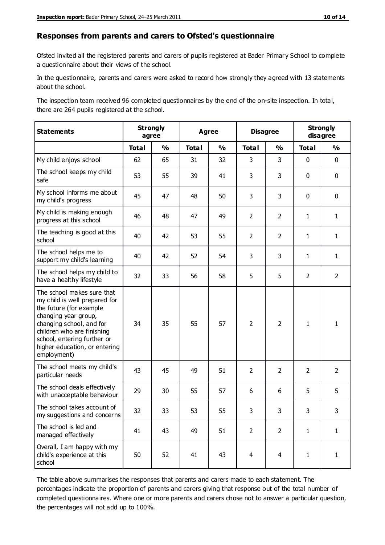#### **Responses from parents and carers to Ofsted's questionnaire**

Ofsted invited all the registered parents and carers of pupils registered at Bader Primary School to complete a questionnaire about their views of the school.

In the questionnaire, parents and carers were asked to record how strongly they agreed with 13 statements about the school.

The inspection team received 96 completed questionnaires by the end of the on-site inspection. In total, there are 264 pupils registered at the school.

| <b>Statements</b>                                                                                                                                                                                                                                       | <b>Strongly</b><br>agree |               | <b>Agree</b> |               | <b>Disagree</b> |                | <b>Strongly</b><br>disagree |                |
|---------------------------------------------------------------------------------------------------------------------------------------------------------------------------------------------------------------------------------------------------------|--------------------------|---------------|--------------|---------------|-----------------|----------------|-----------------------------|----------------|
|                                                                                                                                                                                                                                                         | <b>Total</b>             | $\frac{1}{2}$ | <b>Total</b> | $\frac{1}{2}$ | <b>Total</b>    | $\frac{1}{2}$  | <b>Total</b>                | $\frac{1}{2}$  |
| My child enjoys school                                                                                                                                                                                                                                  | 62                       | 65            | 31           | 32            | 3               | 3              | $\mathbf 0$                 | $\mathbf 0$    |
| The school keeps my child<br>safe                                                                                                                                                                                                                       | 53                       | 55            | 39           | 41            | 3               | 3              | $\mathbf 0$                 | $\mathbf 0$    |
| My school informs me about<br>my child's progress                                                                                                                                                                                                       | 45                       | 47            | 48           | 50            | 3               | 3              | $\mathbf 0$                 | $\mathbf 0$    |
| My child is making enough<br>progress at this school                                                                                                                                                                                                    | 46                       | 48            | 47           | 49            | $\overline{2}$  | $\overline{2}$ | $\mathbf{1}$                | $\mathbf{1}$   |
| The teaching is good at this<br>school                                                                                                                                                                                                                  | 40                       | 42            | 53           | 55            | $\overline{2}$  | $\overline{2}$ | $\mathbf{1}$                | $\mathbf{1}$   |
| The school helps me to<br>support my child's learning                                                                                                                                                                                                   | 40                       | 42            | 52           | 54            | 3               | 3              | 1                           | $\mathbf{1}$   |
| The school helps my child to<br>have a healthy lifestyle                                                                                                                                                                                                | 32                       | 33            | 56           | 58            | 5               | 5              | $\overline{2}$              | $\overline{2}$ |
| The school makes sure that<br>my child is well prepared for<br>the future (for example<br>changing year group,<br>changing school, and for<br>children who are finishing<br>school, entering further or<br>higher education, or entering<br>employment) | 34                       | 35            | 55           | 57            | $\overline{2}$  | $\overline{2}$ | $\mathbf{1}$                | $\mathbf{1}$   |
| The school meets my child's<br>particular needs                                                                                                                                                                                                         | 43                       | 45            | 49           | 51            | $\overline{2}$  | $\overline{2}$ | $\overline{2}$              | $\overline{2}$ |
| The school deals effectively<br>with unacceptable behaviour                                                                                                                                                                                             | 29                       | 30            | 55           | 57            | 6               | 6              | 5                           | 5              |
| The school takes account of<br>my suggestions and concerns                                                                                                                                                                                              | 32                       | 33            | 53           | 55            | 3               | 3              | 3                           | 3              |
| The school is led and<br>managed effectively                                                                                                                                                                                                            | 41                       | 43            | 49           | 51            | $\overline{2}$  | $\overline{2}$ | $\mathbf{1}$                | $\mathbf{1}$   |
| Overall, I am happy with my<br>child's experience at this<br>school                                                                                                                                                                                     | 50                       | 52            | 41           | 43            | $\overline{4}$  | $\overline{4}$ | $\mathbf{1}$                | $\mathbf{1}$   |

The table above summarises the responses that parents and carers made to each statement. The percentages indicate the proportion of parents and carers giving that response out of the total number of completed questionnaires. Where one or more parents and carers chose not to answer a particular question, the percentages will not add up to 100%.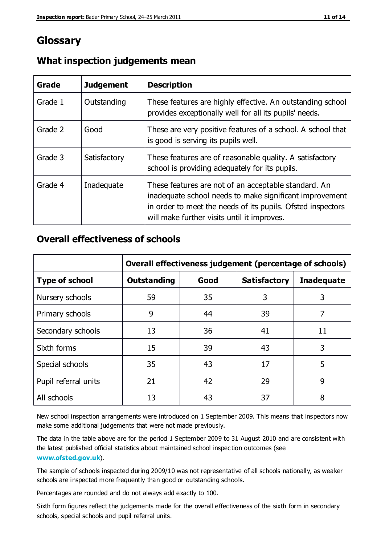## **Glossary**

| Grade   | <b>Judgement</b> | <b>Description</b>                                                                                                                                                                                                            |
|---------|------------------|-------------------------------------------------------------------------------------------------------------------------------------------------------------------------------------------------------------------------------|
| Grade 1 | Outstanding      | These features are highly effective. An outstanding school<br>provides exceptionally well for all its pupils' needs.                                                                                                          |
| Grade 2 | Good             | These are very positive features of a school. A school that<br>is good is serving its pupils well.                                                                                                                            |
| Grade 3 | Satisfactory     | These features are of reasonable quality. A satisfactory<br>school is providing adequately for its pupils.                                                                                                                    |
| Grade 4 | Inadequate       | These features are not of an acceptable standard. An<br>inadequate school needs to make significant improvement<br>in order to meet the needs of its pupils. Ofsted inspectors<br>will make further visits until it improves. |

#### **What inspection judgements mean**

#### **Overall effectiveness of schools**

|                       | Overall effectiveness judgement (percentage of schools) |      |                     |                   |
|-----------------------|---------------------------------------------------------|------|---------------------|-------------------|
| <b>Type of school</b> | <b>Outstanding</b>                                      | Good | <b>Satisfactory</b> | <b>Inadequate</b> |
| Nursery schools       | 59                                                      | 35   | 3                   | 3                 |
| Primary schools       | 9                                                       | 44   | 39                  | 7                 |
| Secondary schools     | 13                                                      | 36   | 41                  | 11                |
| Sixth forms           | 15                                                      | 39   | 43                  | 3                 |
| Special schools       | 35                                                      | 43   | 17                  | 5                 |
| Pupil referral units  | 21                                                      | 42   | 29                  | 9                 |
| All schools           | 13                                                      | 43   | 37                  | 8                 |

New school inspection arrangements were introduced on 1 September 2009. This means that inspectors now make some additional judgements that were not made previously.

The data in the table above are for the period 1 September 2009 to 31 August 2010 and are consistent with the latest published official statistics about maintained school inspec tion outcomes (see **[www.ofsted.gov.uk](http://www.ofsted.gov.uk/)**).

The sample of schools inspected during 2009/10 was not representative of all schools nationally, as weaker schools are inspected more frequently than good or outstanding schools.

Percentages are rounded and do not always add exactly to 100.

Sixth form figures reflect the judgements made for the overall effectiveness of the sixth form in secondary schools, special schools and pupil referral units.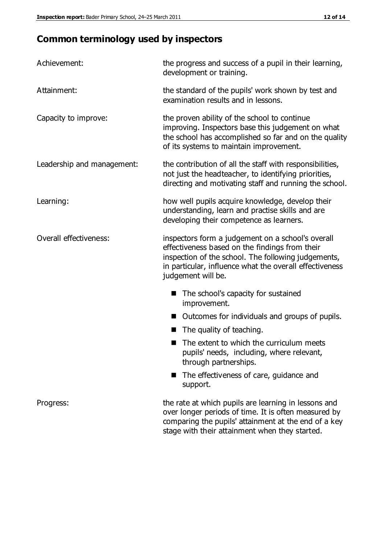# **Common terminology used by inspectors**

| Achievement:                  | the progress and success of a pupil in their learning,<br>development or training.                                                                                                                                                          |  |  |
|-------------------------------|---------------------------------------------------------------------------------------------------------------------------------------------------------------------------------------------------------------------------------------------|--|--|
| Attainment:                   | the standard of the pupils' work shown by test and<br>examination results and in lessons.                                                                                                                                                   |  |  |
| Capacity to improve:          | the proven ability of the school to continue<br>improving. Inspectors base this judgement on what<br>the school has accomplished so far and on the quality<br>of its systems to maintain improvement.                                       |  |  |
| Leadership and management:    | the contribution of all the staff with responsibilities,<br>not just the headteacher, to identifying priorities,<br>directing and motivating staff and running the school.                                                                  |  |  |
| Learning:                     | how well pupils acquire knowledge, develop their<br>understanding, learn and practise skills and are<br>developing their competence as learners.                                                                                            |  |  |
| <b>Overall effectiveness:</b> | inspectors form a judgement on a school's overall<br>effectiveness based on the findings from their<br>inspection of the school. The following judgements,<br>in particular, influence what the overall effectiveness<br>judgement will be. |  |  |
|                               | The school's capacity for sustained<br>improvement.                                                                                                                                                                                         |  |  |
|                               | Outcomes for individuals and groups of pupils.                                                                                                                                                                                              |  |  |
|                               | The quality of teaching.                                                                                                                                                                                                                    |  |  |
|                               | The extent to which the curriculum meets<br>pupils' needs, including, where relevant,<br>through partnerships.                                                                                                                              |  |  |
|                               | The effectiveness of care, guidance and<br>support.                                                                                                                                                                                         |  |  |
| Progress:                     | the rate at which pupils are learning in lessons and<br>over longer periods of time. It is often measured by<br>comparing the pupils' attainment at the end of a key                                                                        |  |  |

stage with their attainment when they started.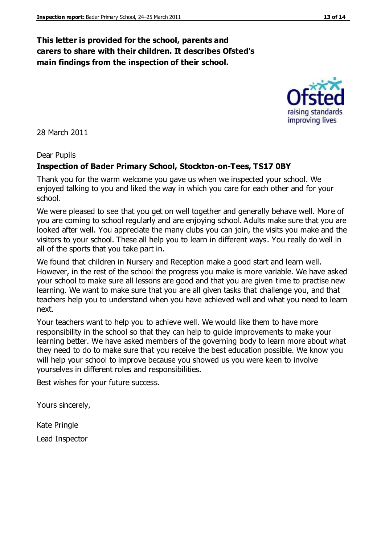#### **This letter is provided for the school, parents and carers to share with their children. It describes Ofsted's main findings from the inspection of their school.**

28 March 2011

#### Dear Pupils

#### **Inspection of Bader Primary School, Stockton-on-Tees, TS17 0BY**

Thank you for the warm welcome you gave us when we inspected your school. We enjoyed talking to you and liked the way in which you care for each other and for your school.

We were pleased to see that you get on well together and generally behave well. More of you are coming to school regularly and are enjoying school. Adults make sure that you are looked after well. You appreciate the many clubs you can join, the visits you make and the visitors to your school. These all help you to learn in different ways. You really do well in all of the sports that you take part in.

We found that children in Nursery and Reception make a good start and learn well. However, in the rest of the school the progress you make is more variable. We have asked your school to make sure all lessons are good and that you are given time to practise new learning. We want to make sure that you are all given tasks that challenge you, and that teachers help you to understand when you have achieved well and what you need to learn next.

Your teachers want to help you to achieve well. We would like them to have more responsibility in the school so that they can help to guide improvements to make your learning better. We have asked members of the governing body to learn more about what they need to do to make sure that you receive the best education possible. We know you will help your school to improve because you showed us you were keen to involve yourselves in different roles and responsibilities.

Best wishes for your future success.

Yours sincerely,

Kate Pringle Lead Inspector